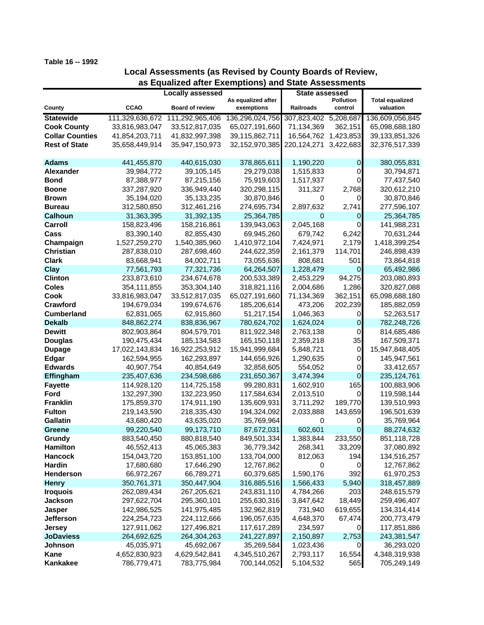## **Table 16 -- 1992**

## **Local Assessments (as Revised by County Boards of Review, as Equalized after Exemptions) and State Assessments**

|                        |                 |                         |                                  | State assessed        |                      |                                     |
|------------------------|-----------------|-------------------------|----------------------------------|-----------------------|----------------------|-------------------------------------|
|                        |                 | <b>Locally assessed</b> |                                  |                       |                      |                                     |
| County                 | <b>CCAO</b>     | <b>Board of review</b>  | As equalized after<br>exemptions | Railroads             | Pollution<br>control | <b>Total equalized</b><br>valuation |
|                        |                 |                         |                                  |                       |                      |                                     |
| <b>Statewide</b>       | 111,329,636,672 | 111,292,965,406         | 136,296,024,756                  | 307,823,402 5,208,687 |                      | 136,609,056,845                     |
| <b>Cook County</b>     | 33,816,983,047  | 33,512,817,035          | 65,027,191,660                   | 71,134,369            | 362,151              | 65,098,688,180                      |
| <b>Collar Counties</b> | 41,854,203,711  | 41,832,997,398          | 39,115,862,711                   | 16,564,762            | 1,423,853            | 39,133,851,326                      |
| <b>Rest of State</b>   | 35,658,449,914  | 35,947,150,973          | 32,152,970,385                   | 220,124,271           | 3,422,683            | 32,376,517,339                      |
|                        |                 |                         |                                  |                       |                      |                                     |
| <b>Adams</b>           | 441,455,870     | 440,615,030             | 378,865,611                      | 1,190,220             | $\mathbf 0$          | 380,055,831                         |
| <b>Alexander</b>       | 39,984,772      | 39,105,145              | 29,279,038                       | 1,515,833             | 0                    | 30,794,871                          |
| <b>Bond</b>            | 87,388,977      | 87,215,156              | 75,919,603                       | 1,517,937             | $\overline{0}$       | 77,437,540                          |
| <b>Boone</b>           | 337,287,920     | 336,949,440             | 320,298,115                      | 311,327               | 2,768                | 320,612,210                         |
| <b>Brown</b>           | 35,194,020      | 35, 133, 235            | 30,870,846                       | 0                     | 0                    | 30,870,846                          |
| <b>Bureau</b>          | 312,580,850     | 312,461,216             | 274,695,734                      | 2,897,632             | 2,741                | 277,596,107                         |
| <b>Calhoun</b>         | 31,363,395      | 31,392,135              | 25,364,785                       | 0                     | $\mathbf 0$          | 25,364,785                          |
| Carroll                | 158,823,496     | 158,216,861             | 139,943,063                      | 2,045,168             | 0                    | 141,988,231                         |
| Cass                   | 83,390,140      | 82,855,430              | 69,945,260                       | 679,742               | 6,242                | 70,631,244                          |
| Champaign              | 1,527,259,270   | 1,540,385,960           | 1,410,972,104                    | 7,424,971             | 2,179                | 1,418,399,254                       |
| <b>Christian</b>       | 287,838,010     | 287,698,460             | 244,622,359                      | 2,161,379             | 114,701              | 246,898,439                         |
| <b>Clark</b>           | 83,668,941      | 84,002,711              | 73,055,636                       | 808,681               | 501                  | 73,864,818                          |
| <b>Clay</b>            | 77,561,793      | 77,321,736              | 64,264,507                       | 1,228,479             | $\overline{0}$       | 65,492,986                          |
| <b>Clinton</b>         | 233,873,610     | 234,674,678             | 200,533,389                      | 2,453,229             | 94,275               | 203,080,893                         |
| <b>Coles</b>           | 354,111,855     | 353,304,140             | 318,821,116                      | 2,004,686             | 1,286                | 320,827,088                         |
| Cook                   | 33,816,983,047  | 33,512,817,035          | 65,027,191,660                   | 71,134,369            | 362,151              | 65,098,688,180                      |
| Crawford               | 194,679,034     | 199,674,676             | 185,206,614                      | 473,206               | 202,239              | 185,882,059                         |
| <b>Cumberland</b>      | 62,831,065      | 62,915,860              | 51,217,154                       | 1,046,363             | $\Omega$             | 52,263,517                          |
| <b>Dekalb</b>          | 848,862,274     | 838,836,967             | 780,624,702                      | 1,624,024             | $\mathbf 0$          | 782,248,726                         |
| <b>Dewitt</b>          | 802,903,864     | 804,579,701             | 811,922,348                      | 2,763,138             | $\overline{0}$       | 814,685,486                         |
| <b>Douglas</b>         | 190,475,434     | 185, 134, 583           | 165,150,118                      | 2,359,218             | 35                   | 167,509,371                         |
| <b>Dupage</b>          | 17,022,143,834  | 16,922,253,912          | 15,941,999,684                   | 5,848,721             | $\mathsf 0$          | 15,947,848,405                      |
| Edgar                  | 162,594,955     | 162,293,897             | 144,656,926                      | 1,290,635             | 0                    | 145,947,561                         |
| <b>Edwards</b>         | 40,907,754      | 40,854,649              | 32,858,605                       | 554,052               | 0                    | 33,412,657                          |
| Effingham              | 235,407,636     | 234,598,686             | 231,650,367                      | 3,474,394             | $\mathbf 0$          | 235,124,761                         |
| <b>Fayette</b>         | 114,928,120     | 114,725,158             | 99,280,831                       | 1,602,910             | 165                  | 100,883,906                         |
| Ford                   | 132,297,390     | 132,223,950             | 117,584,634                      | 2,013,510             | 0                    | 119,598,144                         |
| <b>Franklin</b>        | 175,859,370     | 174,911,190             | 135,609,931                      | 3,711,292             | 189,770              | 139,510,993                         |
| <b>Fulton</b>          | 219,143,590     | 218,335,430             | 194,324,092                      | 2,033,888             | 143,659              | 196,501,639                         |
| <b>Gallatin</b>        | 43,680,420      | 43,635,020              | 35,769,964                       | 0                     | 0                    | 35,769,964                          |
| Greene                 | 99,220,540      | 99,173,710              | 87,672,031                       | 602,601               | 0                    | 88,274,632                          |
| Grundy                 | 883,540,450     | 880,818,540             | 849,501,334                      | 1,383,844             | 233,550              | 851,118,728                         |
| <b>Hamilton</b>        | 46,552,413      | 45,065,383              | 36,779,342                       | 268,341               | 33,209               | 37,080,892                          |
| <b>Hancock</b>         | 154,043,720     | 153,851,100             | 133,704,000                      | 812,063               | 194                  | 134,516,257                         |
| Hardin                 | 17,680,680      | 17,646,290              | 12,767,862                       | 0                     | 0                    | 12,767,862                          |
| Henderson              | 66,972,267      | 66,789,271              | 60,379,685                       | 1,590,176             | 392                  | 61,970,253                          |
| <b>Henry</b>           | 350,761,371     | 350,447,904             | 316,885,516                      | 1,566,433             | 5,940                | 318,457,889                         |
| <b>Iroquois</b>        | 262,089,434     | 267,205,621             | 243,831,110                      | 4,784,266             | 203                  | 248,615,579                         |
| Jackson                | 297,622,704     | 295,360,101             | 255,630,316                      | 3,847,642             | 18,449               | 259,496,407                         |
| Jasper                 | 142,986,525     | 141,975,485             | 132,962,819                      | 731,940               | 619,655              | 134,314,414                         |
| <b>Jefferson</b>       | 224,254,723     | 224,112,666             | 196,057,635                      | 4,648,370             | 67,474               | 200,773,479                         |
| <b>Jersey</b>          | 127,911,062     | 127,496,821             | 117,617,289                      | 234,597               | 0                    | 117,851,886                         |
| <b>JoDaviess</b>       | 264,692,625     | 264,304,263             | 241,227,897                      | 2,150,897             | 2,753                | 243,381,547                         |
| Johnson                | 45,035,971      | 45,692,067              | 35,269,584                       | 1,023,436             | 0                    | 36,293,020                          |
| Kane                   | 4,652,830,923   | 4,629,542,841           | 4,345,510,267                    | 2,793,117             | 16,554               | 4,348,319,938                       |
| Kankakee               | 786,779,471     | 783,775,984             | 700,144,052                      | 5,104,532             | 565                  | 705,249,149                         |
|                        |                 |                         |                                  |                       |                      |                                     |